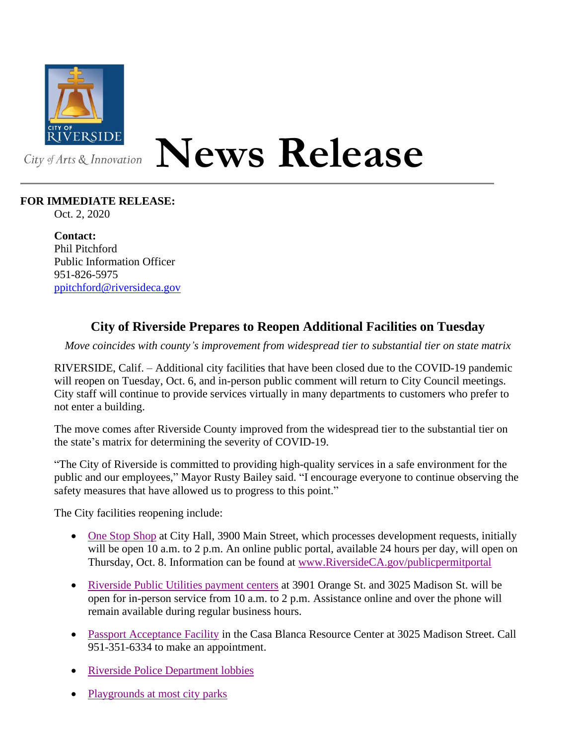

## **News Release**

## **FOR IMMEDIATE RELEASE:**

Oct. 2, 2020

**Contact:** Phil Pitchford Public Information Officer 951-826-5975 [ppitchford@riversideca.gov](mailto:ppitchford@riversideca.gov)

## **City of Riverside Prepares to Reopen Additional Facilities on Tuesday**

*Move coincides with county's improvement from widespread tier to substantial tier on state matrix*

RIVERSIDE, Calif. – Additional city facilities that have been closed due to the COVID-19 pandemic will reopen on Tuesday, Oct. 6, and in-person public comment will return to City Council meetings. City staff will continue to provide services virtually in many departments to customers who prefer to not enter a building.

The move comes after Riverside County improved from the widespread tier to the substantial tier on the state's matrix for determining the severity of COVID-19.

"The City of Riverside is committed to providing high-quality services in a safe environment for the public and our employees," Mayor Rusty Bailey said. "I encourage everyone to continue observing the safety measures that have allowed us to progress to this point."

The City facilities reopening include:

- [One Stop Shop](https://www.riversideca.gov/buildriverside/) at City Hall, 3900 Main Street, which processes development requests, initially will be open 10 a.m. to 2 p.m. An online public portal, available 24 hours per day, will open on Thursday, Oct. 8. Information can be found at [www.RiversideCA.gov/publicpermitportal](http://www.riversideca.gov/publicpermitportal)
- [Riverside Public Utilities payment centers](https://www.riversideca.gov/utilities/residents/pay-your-bill-payment-options-plans.asp) at 3901 Orange St. and 3025 Madison St. will be open for in-person service from 10 a.m. to 2 p.m. Assistance online and over the phone will remain available during regular business hours.
- [Passport Acceptance Facility](https://riversideca.gov/cityclerk/passport) in the Casa Blanca Resource Center at 3025 Madison Street. Call 951-351-6334 to make an appointment.
- [Riverside Police Department lobbies](https://www.riversideca.gov/rpd/about-contact)
- [Playgrounds at most city parks](https://www.riversideca.gov/park_rec/facilities-parks)